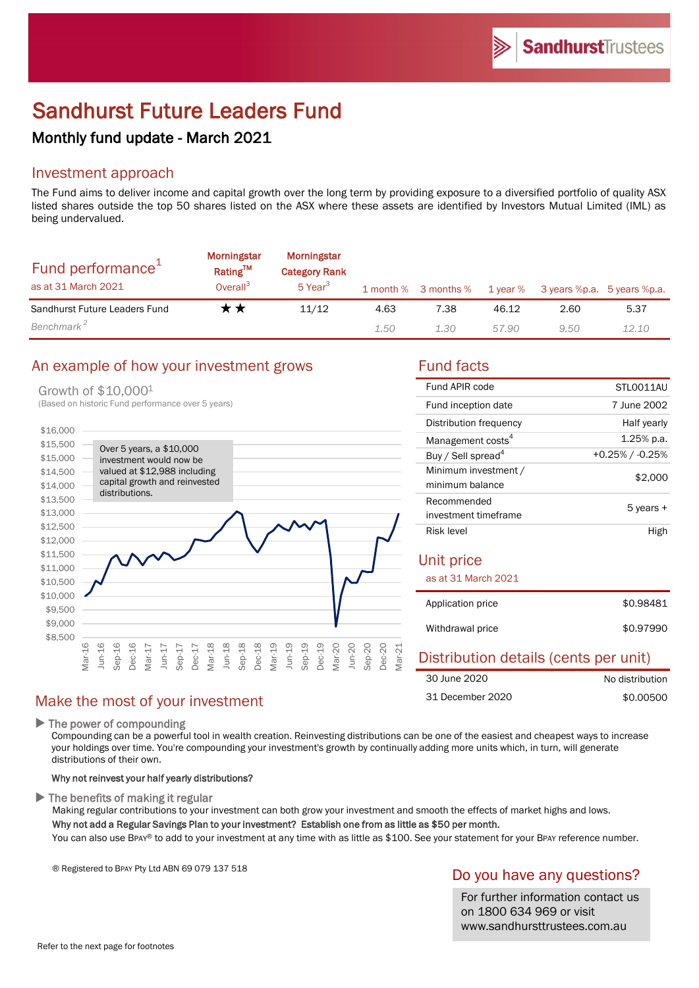# Sandhurst Future Leaders Fund

## Monthly fund update - March 2021

## Investment approach

The Fund aims to deliver income and capital growth over the long term by providing exposure to a diversified portfolio of quality ASX listed shares outside the top 50 shares listed on the ASX where these assets are identified by Investors Mutual Limited (IML) as being undervalued.

| Fund performance <sup>1</sup><br>as at 31 March 2021 | <b>Morningstar</b><br>Rating™<br>Overall <sup>3</sup> | Morningstar<br><b>Category Rank</b><br>5 Year <sup>3</sup> |      | 1 month % 3 months % |       | 1 year % 3 years %p.a. 5 years %p.a. |       |
|------------------------------------------------------|-------------------------------------------------------|------------------------------------------------------------|------|----------------------|-------|--------------------------------------|-------|
| Sandhurst Future Leaders Fund                        | r *                                                   | 11/12                                                      | 4.63 | 7.38                 | 46.12 | 2.60                                 | 5.37  |
| Benchmark <sup>2</sup>                               |                                                       |                                                            | 1.50 | 1.30                 | 57.90 | 9.50                                 | 12.10 |

#### An example of how your investment grows Fund facts

#### Growth of \$10,0001



| Fund APIR code                 | STLO011AU          |  |  |
|--------------------------------|--------------------|--|--|
| Fund inception date            | 7 June 2002        |  |  |
| Distribution frequency         | Half yearly        |  |  |
| Management costs <sup>4</sup>  | $1.25\%$ p.a.      |  |  |
| Buy / Sell spread <sup>4</sup> | $+0.25\%$ / -0.25% |  |  |
| Minimum investment /           | \$2,000            |  |  |
| minimum balance                |                    |  |  |
| Recommended                    | 5 years +          |  |  |
| investment timeframe           |                    |  |  |
| Risk level                     | High               |  |  |
| Unit price                     |                    |  |  |
| as at 31 March 2021            |                    |  |  |
| Application price              | \$0.98481          |  |  |

| Withdrawal price | \$0.97990 |
|------------------|-----------|

#### Distribution details (cents per unit) No distribution \$0.00500 30 June 2020 31 December 2020

## Make the most of your investment

 $\blacktriangleright$  The power of compounding

Compounding can be a powerful tool in wealth creation. Reinvesting distributions can be one of the easiest and cheapest ways to increase your holdings over time. You're compounding your investment's growth by continually adding more units which, in turn, will generate distributions of their own.

#### Why not reinvest your half yearly distributions?

 $\blacktriangleright$  The benefits of making it regular

Making regular contributions to your investment can both grow your investment and smooth the effects of market highs and lows. Why not add a Regular Savings Plan to your investment? Establish one from as little as \$50 per month.

You can also use BPAY® to add to your investment at any time with as little as \$100. See your statement for your BPAY reference number.

® Registered to BPAY Pty Ltd ABN 69 079 137 518

#### Do you have any questions?

For further information contact us on 1800 634 969 or visit www.sandhursttrustees.com.au